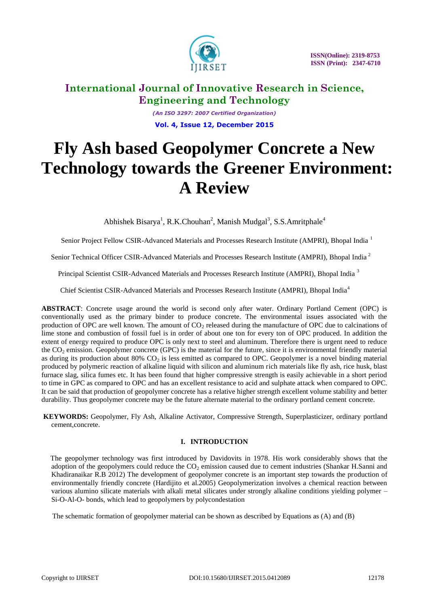

 **ISSN(Online): 2319-8753 ISSN (Print): 2347-6710** 

# **International Journal of Innovative Research in Science, Engineering and Technology**

*(An ISO 3297: 2007 Certified Organization)* **Vol. 4, Issue 12, December 2015**

# **Fly Ash based Geopolymer Concrete a New Technology towards the Greener Environment: A Review**

Abhishek Bisarya<sup>1</sup>, R.K.Chouhan<sup>2</sup>, Manish Mudgal<sup>3</sup>, S.S.Amritphale<sup>4</sup>

Senior Project Fellow CSIR-Advanced Materials and Processes Research Institute (AMPRI), Bhopal India <sup>1</sup>

Senior Technical Officer CSIR-Advanced Materials and Processes Research Institute (AMPRI), Bhopal India <sup>2</sup>

Principal Scientist CSIR-Advanced Materials and Processes Research Institute (AMPRI), Bhopal India <sup>3</sup>

Chief Scientist CSIR-Advanced Materials and Processes Research Institute (AMPRI), Bhopal India<sup>4</sup>

**ABSTRACT**: Concrete usage around the world is second only after water. Ordinary Portland Cement (OPC) is conventionally used as the primary binder to produce concrete. The environmental issues associated with the production of OPC are well known. The amount of  $CO<sub>2</sub>$  released during the manufacture of OPC due to calcinations of lime stone and combustion of fossil fuel is in order of about one ton for every ton of OPC produced. In addition the extent of energy required to produce OPC is only next to steel and aluminum. Therefore there is urgent need to reduce the CO<sub>2</sub> emission. Geopolymer concrete (GPC) is the material for the future, since it is environmental friendly material as during its production about  $80\%$  CO<sub>2</sub> is less emitted as compared to OPC. Geopolymer is a novel binding material produced by polymeric reaction of alkaline liquid with silicon and aluminum rich materials like fly ash, rice husk, blast furnace slag, silica fumes etc. It has been found that higher compressive strength is easily achievable in a short period to time in GPC as compared to OPC and has an excellent resistance to acid and sulphate attack when compared to OPC. It can be said that production of geopolymer concrete has a relative higher strength excellent volume stability and better durability. Thus geopolymer concrete may be the future alternate material to the ordinary portland cement concrete.

**KEYWORDS:** Geopolymer, Fly Ash, Alkaline Activator, Compressive Strength, Superplasticizer, ordinary portland cement,concrete.

# **I. INTRODUCTION**

 The geopolymer technology was first introduced by Davidovits in 1978. His work considerably shows that the adoption of the geopolymers could reduce the  $CO<sub>2</sub>$  emission caused due to cement industries (Shankar H.Sanni and Khadiranaikar R.B 2012) The development of geopolymer concrete is an important step towards the production of environmentally friendly concrete (Hardijito et al.2005) Geopolymerization involves a chemical reaction between various alumino silicate materials with alkali metal silicates under strongly alkaline conditions yielding polymer – Si-O-Al-O- bonds, which lead to geopolymers by polycondestation

The schematic formation of geopolymer material can be shown as described by Equations as (A) and (B)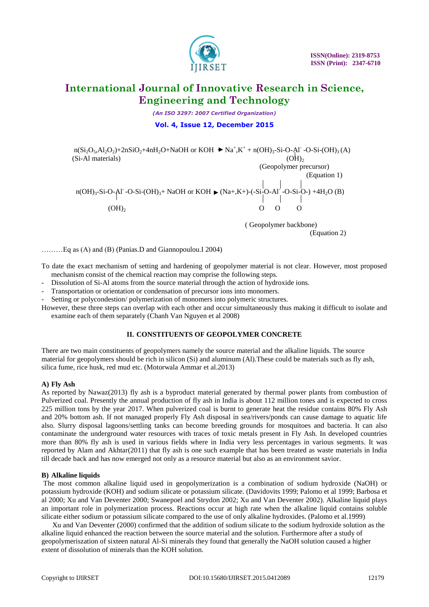

*(An ISO 3297: 2007 Certified Organization)*

### **Vol. 4, Issue 12, December 2015**

 $n(Si<sub>2</sub>O<sub>5</sub>, Al<sub>2</sub>O<sub>2</sub>)+2nSiO<sub>2</sub>+4nH<sub>2</sub>O+NaOH$  or KOH  $\blacktriangleright$  Na<sup>+</sup>,K<sup>+</sup> + n(OH)<sub>3</sub>-Si-O-Al<sup>-</sup> -O-Si-(OH)<sub>3</sub>(A)  $(Si-A1$  materials)  $(OH)$ <sub>2</sub>

(Geopolymer precursor)

 (Equation 1)  $n(OH)_3$ -Si-O-Al<sup>-</sup>-O-Si- $(OH)_3$ + NaOH or KOH  $\blacktriangleright$  (Na+,K+)-(-Si-O-Al<sup>-</sup>  $\left\{ \begin{array}{c} \begin{array}{c} \text{Al}^{\cdot} \text{-O-Si-O-} \end{array} \\ \begin{array}{c} \begin{array}{c} \text{Al}^{\cdot} \end{array} \end{array} \right\} \end{array}$  $(OH)_2$  0 0 0

> ( Geopolymer backbone) (Equation 2)

………Eq as (A) and (B) (Panias.D and Giannopoulou.I 2004)

To date the exact mechanism of setting and hardening of geopolymer material is not clear. However, most proposed mechanism consist of the chemical reaction may comprise the following steps.

- Dissolution of Si-Al atoms from the source material through the action of hydroxide ions.
- Transportation or orientation or condensation of precursor ions into monomers.

- Setting or polycondestion/ polymerization of monomers into polymeric structures.

However, these three steps can overlap with each other and occur simultaneously thus making it difficult to isolate and examine each of them separately (Chanh Van Nguyen et al 2008)

### **II. CONSTITUENTS OF GEOPOLYMER CONCRETE**

There are two main constituents of geopolymers namely the source material and the alkaline liquids. The source material for geopolymers should be rich in silicon (Si) and aluminum (Al).These could be materials such as fly ash, silica fume, rice husk, red mud etc. (Motorwala Ammar et al.2013)

### **A) Fly Ash**

As reported by Nawaz(2013) fly ash is a byproduct material generated by thermal power plants from combustion of Pulverized coal. Presently the annual production of fly ash in India is about 112 million tones and is expected to cross 225 million tons by the year 2017. When pulverized coal is burnt to generate heat the residue contains 80% Fly Ash and 20% bottom ash. If not managed properly Fly Ash disposal in sea/rivers/ponds can cause damage to aquatic life also. Slurry disposal lagoons/settling tanks can become breeding grounds for mosquitoes and bacteria. It can also contaminate the underground water resources with traces of toxic metals present in Fly Ash. In developed countries more than 80% fly ash is used in various fields where in India very less percentages in various segments. It was reported by Alam and Akhtar(2011) that fly ash is one such example that has been treated as waste materials in India till decade back and has now emerged not only as a resource material but also as an environment savior.

### **B) Alkaline liquids**

The most common alkaline liquid used in geopolymerization is a combination of sodium hydroxide (NaOH) or potassium hydroxide (KOH) and sodium silicate or potassium silicate. (Davidovits 1999; Palomo et al 1999; Barbosa et al 2000; Xu and Van Deventer 2000; Swanepoel and Strydon 2002; Xu and Van Deventer 2002). Alkaline liquid plays an important role in polymerization process. Reactions occur at high rate when the alkaline liquid contains soluble silicate either sodium or potassium silicate compared to the use of only alkaline hydroxides. (Palomo et al.1999)

 Xu and Van Deventer (2000) confirmed that the addition of sodium silicate to the sodium hydroxide solution as the alkaline liquid enhanced the reaction between the source material and the solution. Furthermore after a study of geopolymeriszation of sixteen natural Al-Si minerals they found that generally the NaOH solution caused a higher extent of dissolution of minerals than the KOH solution.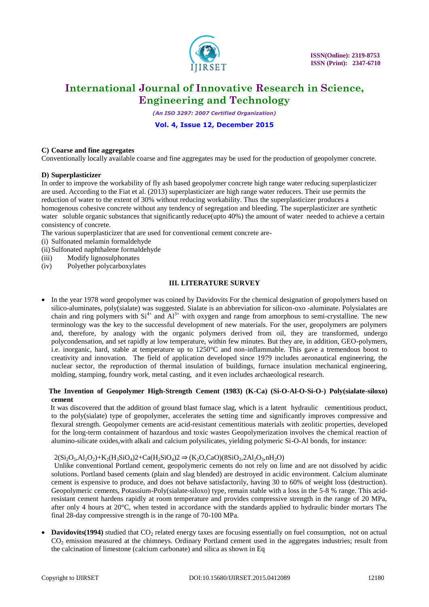

*(An ISO 3297: 2007 Certified Organization)*

### **Vol. 4, Issue 12, December 2015**

#### **C) Coarse and fine aggregates**

Conventionally locally available coarse and fine aggregates may be used for the production of geopolymer concrete.

#### **D) Superplasticizer**

In order to improve the workability of fly ash based geopolymer concrete high range water reducing superplasticizer are used. According to the Fiat et al. (2013) superplasticizer are high range water reducers. Their use permits the reduction of water to the extent of 30% without reducing workability. Thus the superplasticizer produces a homogenous cohesive concrete without any tendency of segregation and bleeding. The superplasticizer are synthetic water soluble organic substances that significantly reduce(upto 40%) the amount of water needed to achieve a certain consistency of concrete.

The various superplasticizer that are used for conventional cement concrete are-

- (i) Sulfonated melamin formaldehyde
- (ii)Sulfonated naphthalene formaldehyde
- (iii) Modify lignosulphonates
- (iv) Polyether polycarboxylates

#### **III. LITERATURE SURVEY**

 In the year 1978 word geopolymer was coined by Davidovits For the chemical designation of geopolymers based on silico-aluminates, poly(sialate) was suggested. Sialate is an abbreviation for silicon-oxo -aluminate. Polysialates are chain and ring polymers with  $Si^{4+}$  and  $Al^{3+}$  with oxygen and range from amorphous to semi-crystalline. The new terminology was the key to the successful development of new materials. For the user, geopolymers are polymers and, therefore, by analogy with the organic polymers derived from oil, they are transformed, undergo polycondensation, and set rapidly at low temperature, within few minutes. But they are, in addition, GEO-polymers, i.e. inorganic, hard, stable at temperature up to 1250°C and non-inflammable. This gave a tremendous boost to creativity and innovation. The field of application developed since 1979 includes aeronautical engineering, the nuclear sector, the reproduction of thermal insulation of buildings, furnace insulation mechanical engineering, molding, stamping, foundry work, metal casting, and it even includes archaeological research.

### **The Invention of Geopolymer High-Strength Cement (1983) (K-Ca) (Si-O-Al-O-Si-O-) Poly(sialate-siloxo) cement**

 It was discovered that the addition of ground blast furnace slag, which is a latent hydraulic cementitious product, to the poly(sialate) type of geopolymer, accelerates the setting time and significantly improves compressive and flexural strength. Geopolymer cements are acid-resistant cementitious materials with zeolitic properties, developed for the long-term containment of hazardous and toxic wastes Geopolymerization involves the chemical reaction of alumino-silicate oxides,with alkali and calcium polysilicates, yielding polymeric Si-O-Al bonds, for instance:

#### $2(Si_2O_5, Al_2O_2)+K_2(H_3SiO_4)2+Ca(H_2SiO_4)2 \Rightarrow (K_2O_5CaO)(8SiO_2,2Al_2O_3,nH_2O)$

 Unlike conventional Portland cement, geopolymeric cements do not rely on lime and are not dissolved by acidic solutions. Portland based cements (plain and slag blended) are destroyed in acidic environment. Calcium aluminate cement is expensive to produce, and does not behave satisfactorily, having 30 to 60% of weight loss (destruction). Geopolymeric cements, Potassium-Poly(sialate-siloxo) type, remain stable with a loss in the 5-8 % range. This acidresistant cement hardens rapidly at room temperature and provides compressive strength in the range of 20 MPa, after only 4 hours at 20°C, when tested in accordance with the standards applied to hydraulic binder mortars The final 28-day compressive strength is in the range of 70-100 MPa.

**Davidovits(1994)** studied that  $CO<sub>2</sub>$  related energy taxes are focusing essentially on fuel consumption, not on actual CO<sub>2</sub> emission measured at the chimneys. Ordinary Portland cement used in the aggregates industries; result from the calcination of limestone (calcium carbonate) and silica as shown in Eq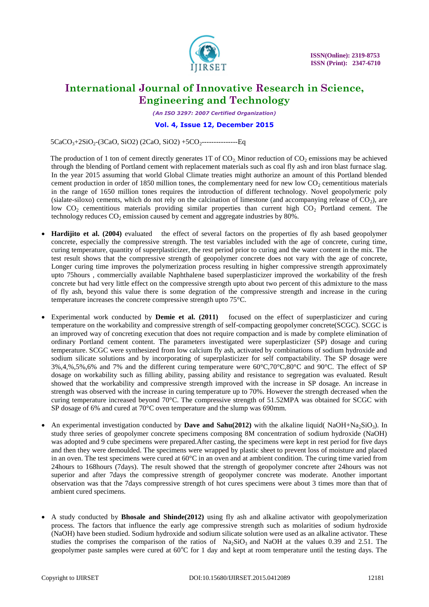

*(An ISO 3297: 2007 Certified Organization)*

### **Vol. 4, Issue 12, December 2015**

5CaCO3+2SiO2-(3CaO, SiO2) (2CaO, SiO2) +5CO2---------------Eq

The production of 1 ton of cement directly generates 1T of  $CO<sub>2</sub>$ . Minor reduction of  $CO<sub>2</sub>$  emissions may be achieved through the blending of Portland cement with replacement materials such as coal fly ash and iron blast furnace slag. In the year 2015 assuming that world Global Climate treaties might authorize an amount of this Portland blended cement production in order of 1850 million tones, the complementary need for new low  $CO<sub>2</sub>$  cementitious materials in the range of 1650 million tones requires the introduction of different technology. Novel geopolymeric poly (sialate-siloxo) cements, which do not rely on the calcination of limestone (and accompanying release of  $CO<sub>2</sub>$ ), are low  $CO<sub>2</sub>$  cementitious materials providing similar properties than current high  $CO<sub>2</sub>$  Portland cement. The technology reduces  $CO<sub>2</sub>$  emission caused by cement and aggregate industries by 80%.

- **Hardijito et al. (2004)** evaluated the effect of several factors on the properties of fly ash based geopolymer concrete, especially the compressive strength. The test variables included with the age of concrete, curing time, curing temperature, quantity of superplasticizer, the rest period prior to curing and the water content in the mix. The test result shows that the compressive strength of geopolymer concrete does not vary with the age of concrete, Longer curing time improves the polymerization process resulting in higher compressive strength approximately upto 75hours , commercially available Naphthalene based superplasticizer improved the workability of the fresh concrete but had very little effect on the compressive strength upto about two percent of this admixture to the mass of fly ash, beyond this value there is some degration of the compressive strength and increase in the curing temperature increases the concrete compressive strength upto 75°C.
- Experimental work conducted by **Demie et al. (2011)** focused on the effect of superplasticizer and curing temperature on the workability and compressive strength of self-compacting geopolymer concrete(SCGC). SCGC is an improved way of concreting execution that does not require compaction and is made by complete elimination of ordinary Portland cement content. The parameters investigated were superplasticizer (SP) dosage and curing temperature. SCGC were synthesized from low calcium fly ash, activated by combinations of sodium hydroxide and sodium silicate solutions and by incorporating of superplasticizer for self compactability. The SP dosage were 3%,4,%,5%,6% and 7% and the different curing temperature were 60°C,70°C,80°C and 90°C. The effect of SP dosage on workability such as filling ability, passing ability and resistance to segregation was evaluated. Result showed that the workability and compressive strength improved with the increase in SP dosage. An increase in strength was observed with the increase in curing temperature up to 70%. However the strength decreased when the curing temperature increased beyond 70°C. The compressive strength of 51.52MPA was obtained for SCGC with SP dosage of 6% and cured at 70°C oven temperature and the slump was 690mm.
- An experimental investigation conducted by **Dave and Sahu(2012)** with the alkaline liquid(  $NaOH+Na<sub>2</sub>SiO<sub>3</sub>$ ). In study three series of geopolymer concrete specimens composing 8M concentration of sodium hydroxide (NaOH) was adopted and 9 cube specimens were prepared.After casting, the specimens were kept in rest period for five days and then they were demoulded. The specimens were wrapped by plastic sheet to prevent loss of moisture and placed in an oven. The test specimens were cured at 60°C in an oven and at ambient condition. The curing time varied from 24hours to 168hours (7days). The result showed that the strength of geopolymer concrete after 24hours was not superior and after 7days the compressive strength of geopolymer concrete was moderate. Another important observation was that the 7days compressive strength of hot cures specimens were about 3 times more than that of ambient cured specimens.
- A study conducted by **Bhosale and Shinde(2012)** using fly ash and alkaline activator with geopolymerization process. The factors that influence the early age compressive strength such as molarities of sodium hydroxide (NaOH) have been studied. Sodium hydroxide and sodium silicate solution were used as an alkaline activator. These studies the comprises the comparison of the ratios of  $Na<sub>2</sub>SiO<sub>3</sub>$  and NaOH at the values 0.39 and 2.51. The geopolymer paste samples were cured at  $60^{\circ}$ C for 1 day and kept at room temperature until the testing days. The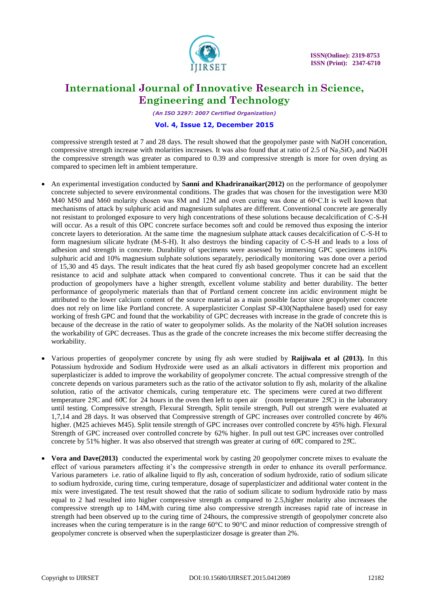

*(An ISO 3297: 2007 Certified Organization)*

#### **Vol. 4, Issue 12, December 2015**

compressive strength tested at 7 and 28 days. The result showed that the geopolymer paste with NaOH conceration, compressive strength increase with molarities increases. It was also found that at ratio of 2.5 of Na<sub>2</sub>SiO<sub>3</sub> and NaOH the compressive strength was greater as compared to 0.39 and compressive strength is more for oven drying as compared to specimen left in ambient temperature.

- An experimental investigation conducted by **Sanni and Khadriranaikar(2012)** on the performance of geopolymer concrete subjected to severe environmental conditions. The grades that was chosen for the investigation were M30 M40 M50 and M60 molarity chosen was 8M and 12M and oven curing was done at 60∘C.It is well known that mechanisms of attack by sulphuric acid and magnesium sulphates are different. Conventional concrete are generally not resistant to prolonged exposure to very high concentrations of these solutions because decalcification of C-S-H will occur. As a result of this OPC concrete surface becomes soft and could be removed thus exposing the interior concrete layers to deterioration. At the same time the magnesium sulphate attack causes decalcification of C-S-H to form magnesium silicate hydrate (M-S-H). It also destroys the binding capacity of C-S-H and leads to a loss of adhesion and strength in concrete. Durability of specimens were assessed by immersing GPC specimens in10% sulphuric acid and 10% magnesium sulphate solutions separately, periodically monitoring was done over a period of 15,30 and 45 days. The result indicates that the heat cured fly ash based geopolymer concrete had an excellent resistance to acid and sulphate attack when compared to conventional concrete. Thus it can be said that the production of geopolymers have a higher strength, excellent volume stability and better durability. The better performance of geopolymeric materials than that of Portland cement concrete inn acidic environment might be attributed to the lower calcium content of the source material as a main possible factor since geopolymer concrete does not rely on lime like Portland concrete. A superplasticizer Conplast SP-430(Napthalene based) used for easy working of fresh GPC and found that the workability of GPC decreases with increase in the grade of concrete this is because of the decrease in the ratio of water to geopolymer solids. As the molarity of the NaOH solution increases the workability of GPC decreases. Thus as the grade of the concrete increases the mix become stiffer decreasing the workability.
- Various properties of geopolymer concrete by using fly ash were studied by **Raijiwala et al (2013).** In this Potassium hydroxide and Sodium Hydroxide were used as an alkali activators in different mix proportion and superplasticizer is added to improve the workability of geopolymer concrete. The actual compressive strength of the concrete depends on various parameters such as the ratio of the activator solution to fly ash, molarity of the alkaline solution, ratio of the activator chemicals, curing temperature etc. The specimens were cured at two different temperature 25 $\degree$ C and 60 $\degree$ C for 24 hours in the oven then left to open air (room temperature 25 $\degree$ C) in the laboratory until testing. Compressive strength, Flexural Strength, Split tensile strength, Pull out strength were evaluated at 1,7,14 and 28 days. It was observed that Compressive strength of GPC increases over controlled concrete by 46% higher. (M25 achieves M45). Split tensile strength of GPC increases over controlled concrete by 45% high. Flexural Strength of GPC increased over controlled concrete by 62% higher. In pull out test GPC increases over controlled concrete by 51% higher. It was also observed that strength was greater at curing of 60̊C compared to 25C. ̊
- **Vora and Dave(2013)** conducted the experimental work by casting 20 geopolymer concrete mixes to evaluate the effect of various parameters affecting it's the compressive strength in order to enhance its overall performance. Various parameters i.e. ratio of alkaline liquid to fly ash, conceration of sodium hydroxide, ratio of sodium silicate to sodium hydroxide, curing time, curing temperature, dosage of superplasticizer and additional water content in the mix were investigated. The test result showed that the ratio of sodium silicate to sodium hydroxide ratio by mass equal to 2 had resulted into higher compressive strength as compared to 2.5,higher molarity also increases the compressive strength up to 14M,with curing time also compressive strength increases rapid rate of increase in strength had been observed up to the curing time of 24hours, the compressive strength of geopolymer concrete also increases when the curing temperature is in the range 60°C to 90°C and minor reduction of compressive strength of geopolymer concrete is observed when the superplasticizer dosage is greater than 2%.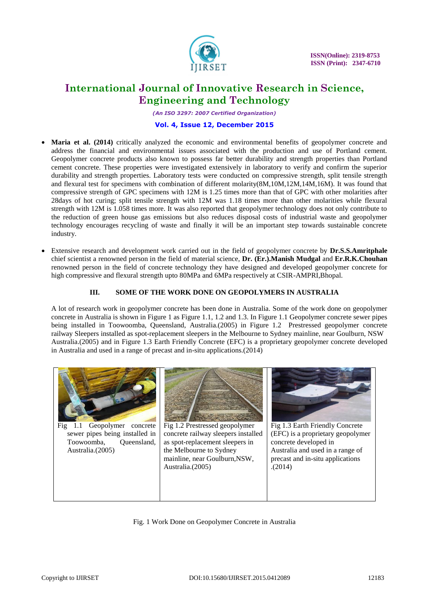

*(An ISO 3297: 2007 Certified Organization)*

### **Vol. 4, Issue 12, December 2015**

- **Maria et al. (2014)** critically analyzed the economic and environmental benefits of geopolymer concrete and address the financial and environmental issues associated with the production and use of Portland cement. Geopolymer concrete products also known to possess far better durability and strength properties than Portland cement concrete. These properties were investigated extensively in laboratory to verify and confirm the superior durability and strength properties. Laboratory tests were conducted on compressive strength, split tensile strength and flexural test for specimens with combination of different molarity(8M,10M,12M,14M,16M). It was found that compressive strength of GPC specimens with 12M is 1.25 times more than that of GPC with other molarities after 28days of hot curing; split tensile strength with 12M was 1.18 times more than other molarities while flexural strength with 12M is 1.058 times more. It was also reported that geopolymer technology does not only contribute to the reduction of green house gas emissions but also reduces disposal costs of industrial waste and geopolymer technology encourages recycling of waste and finally it will be an important step towards sustainable concrete industry.
- Extensive research and development work carried out in the field of geopolymer concrete by **Dr.S.S.Amritphale** chief scientist a renowned person in the field of material science, **Dr. (Er.).Manish Mudgal** and **Er.R.K.Chouhan** renowned person in the field of concrete technology they have designed and developed geopolymer concrete for high compressive and flexural strength upto 80MPa and 6MPa respectively at CSIR-AMPRI,Bhopal.

### **III. SOME OF THE WORK DONE ON GEOPOLYMERS IN AUSTRALIA**

A lot of research work in geopolymer concrete has been done in Australia. Some of the work done on geopolymer concrete in Australia is shown in Figure 1 as Figure 1.1, 1.2 and 1.3. In Figure 1.1 Geopolymer concrete sewer pipes being installed in Toowoomba, Queensland, Australia.(2005) in Figure 1.2 Prestressed geopolymer concrete railway Sleepers installed as spot-replacement sleepers in the Melbourne to Sydney mainline, near Goulburn, NSW Australia.(2005) and in Figure 1.3 Earth Friendly Concrete (EFC) is a proprietary geopolymer concrete developed in Australia and used in a range of precast and in-situ applications.(2014)

Fig. 1 Work Done on Geopolymer Concrete in Australia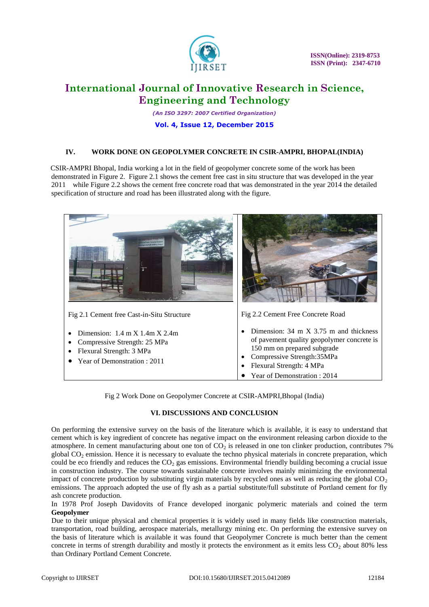

 **ISSN(Online): 2319-8753 ISSN (Print): 2347-6710** 

# **International Journal of Innovative Research in Science, Engineering and Technology**

*(An ISO 3297: 2007 Certified Organization)*

### **Vol. 4, Issue 12, December 2015**

# **IV. WORK DONE ON GEOPOLYMER CONCRETE IN CSIR-AMPRI, BHOPAL(INDIA)**

 CSIR-AMPRI Bhopal, India working a lot in the field of geopolymer concrete some of the work has been demonstrated in Figure 2. Figure 2.1 shows the cement free cast in situ structure that was developed in the year 2011 while Figure 2.2 shows the cement free concrete road that was demonstrated in the year 2014 the detailed specification of structure and road has been illustrated along with the figure.

| Fig 2.1 Cement free Cast-in-Situ Structure                                                                                                                      | Fig 2.2 Cement Free Concrete Road                                                                                                                                                                                                    |
|-----------------------------------------------------------------------------------------------------------------------------------------------------------------|--------------------------------------------------------------------------------------------------------------------------------------------------------------------------------------------------------------------------------------|
| Dimension: $1.4 \text{ m} \times 1.4 \text{ m} \times 2.4 \text{ m}$<br>Compressive Strength: 25 MPa<br>Flexural Strength: 3 MPa<br>Year of Demonstration: 2011 | Dimension: $34 \text{ m} \times 3.75 \text{ m}$ and thickness<br>of pavement quality geopolymer concrete is<br>150 mm on prepared subgrade<br>Compressive Strength: 35MPa<br>Flexural Strength: 4 MPa<br>Year of Demonstration: 2014 |

Fig 2 Work Done on Geopolymer Concrete at CSIR-AMPRI,Bhopal (India)

# **VI. DISCUSSIONS AND CONCLUSION**

On performing the extensive survey on the basis of the literature which is available, it is easy to understand that cement which is key ingredient of concrete has negative impact on the environment releasing carbon dioxide to the atmosphere. In cement manufacturing about one ton of  $CO<sub>2</sub>$  is released in one ton clinker production, contributes 7% global  $CO<sub>2</sub>$  emission. Hence it is necessary to evaluate the techno physical materials in concrete preparation, which could be eco friendly and reduces the  $CO<sub>2</sub>$  gas emissions. Environmental friendly building becoming a crucial issue in construction industry. The course towards sustainable concrete involves mainly minimizing the environmental impact of concrete production by substituting virgin materials by recycled ones as well as reducing the global  $CO<sub>2</sub>$ emissions. The approach adopted the use of fly ash as a partial substitute/full substitute of Portland cement for fly ash concrete production.

In 1978 Prof Joseph Davidovits of France developed inorganic polymeric materials and coined the term **Geopolymer**

 Due to their unique physical and chemical properties it is widely used in many fields like construction materials, transportation, road building, aerospace materials, metallurgy mining etc. On performing the extensive survey on the basis of literature which is available it was found that Geopolymer Concrete is much better than the cement concrete in terms of strength durability and mostly it protects the environment as it emits less  $CO<sub>2</sub>$  about 80% less than Ordinary Portland Cement Concrete.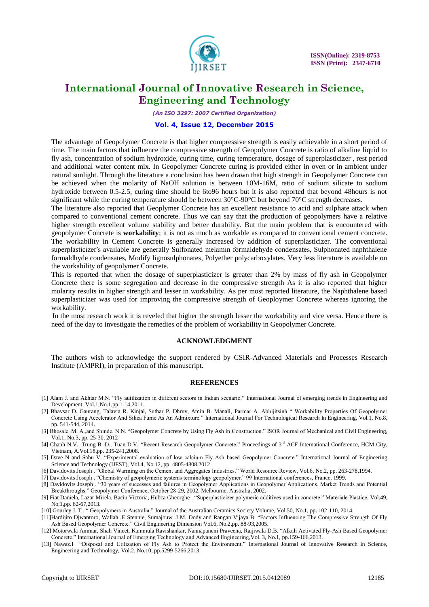

*(An ISO 3297: 2007 Certified Organization)*

#### **Vol. 4, Issue 12, December 2015**

 The advantage of Geopolymer Concrete is that higher compressive strength is easily achievable in a short period of time. The main factors that influence the compressive strength of Geopolymer Concrete is ratio of alkaline liquid to fly ash, concentration of sodium hydroxide, curing time, curing temperature, dosage of superplasticizer , rest period and additional water content mix. In Geopolymer Concrete curing is provided either in oven or in ambient under natural sunlight. Through the literature a conclusion has been drawn that high strength in Geopolymer Concrete can be achieved when the molarity of NaOH solution is between 10M-16M, ratio of sodium silicate to sodium hydroxide between 0.5-2.5, curing time should be 6to96 hours but it is also reported that beyond 48hours is not significant while the curing temperature should be between 30°C-90°C but beyond 70°C strength decreases.

The literature also reported that Geoplymer Concrete has an excellent resistance to acid and sulphate attack when compared to conventional cement concrete. Thus we can say that the production of geopolymers have a relative higher strength excellent volume stability and better durability. But the main problem that is encountered with geopolymer Concrete is **workability**; it is not as much as workable as compared to conventional cement concrete. The workability in Cement Concrete is generally increased by addition of superplasticizer. The conventional superplasticizer's available are generally Sulfonated melamin formaldehyde condensates, Sulphonated naphthalene formaldhyde condensates, Modify lignosulphonates, Polyether polycarboxylates. Very less literature is available on the workability of geopolymer Concrete.

This is reported that when the dosage of superplasticizer is greater than 2% by mass of fly ash in Geopolymer Concrete there is some segregation and decrease in the compressive strength As it is also reported that higher molarity results in higher strength and lesser in workability. As per most reported literature, the Naphthalene based superplasticizer was used for improving the compressive strength of Geoploymer Concrete whereas ignoring the workability.

 In the most research work it is reveled that higher the strength lesser the workability and vice versa. Hence there is need of the day to investigate the remedies of the problem of workability in Geopolymer Concrete.

#### **ACKNOWLEDGMENT**

The authors wish to acknowledge the support rendered by CSIR-Advanced Materials and Processes Research Institute (AMPRI), in preparation of this manuscript.

#### **REFERENCES**

- [1] Alam J. and Akhtar M.N. "Fly autilization in different sectors in Indian scenario." International Journal of emerging trends in Engineering and Development, Vol.1,No.1,pp.1-14,2011.
- [2] Bhavsar D. Gaurang, Talavia R. Kinjal, Suthar P. Dhruv, Amin B. Manali, Parmar A. Abhijitsinh " Workability Properties Of Geopolymer Concrete Using Accelerator And Silica Fume As An Admixture." International Journal For Technological Research In Engineering, Vol.1, No.8, pp. 541-544, 2014.
- [3] Bhosale. M. A.,and Shinde. N.N. "Geopolymer Concrete by Using Fly Ash in Construction." ISOR Journal of Mechanical and Civil Engineering, Vol.1, No.3, pp. 25-30, 2012
- [4] Chanh N.V., Trung B. D., Tuan D.V. "Recent Research Geopolymer Concrete." Proceedings of 3<sup>rd</sup> ACF International Conference, HCM City, Vietnam, A.Vol.18,pp. 235-241,2008.
- [5] Dave N and Sahu V. "Experimental evaluation of low calcium Fly Ash based Geopolymer Concrete." International Journal of Engineering Science and Technology (IJEST), Vol.4, No.12, pp. 4805-4808,2012
- [6] Davidovits Joseph . "Global Warming on the Cement and Aggregates Industries." World Resource Review, Vol.6, No.2, pp. 263-278,1994.
- [7] Davidovits Joseph . "Chemistry of geopolymeric systems terminology geopolymer." 99 International conferences, France, 1999.
- [8] Davidovits Joseph . "30 years of successes and failures in Geopolymer Applications in Geopolymer Applications. Market Trends and Potential Breakthroughs." Geopolymer Conference, October 28-29, 2002, Melbourne, Australia, 2002.
- [9] Fiat Daniela, Lazar Mirela, Baciu Victoria, Hubca Gheorghe . "Superplasticizer polymeric additives used in concrete." Materiale Plastice, Vol.49, No.1,pp. 62-67,2013.
- [10] Gourley J. T . " Geopolymers in Australia." Journal of the Australian Ceramics Society Volume, Vol.50, No.1, pp. 102-110, 2014.
- [11]Hardijito Djwantoro, Wallah .E Stennie, Sumajouw .J M. Dody and Rangan Vijaya B. "Factors Influencing The Compressive Strength Of Fly Ash Based Geopolymer Concrete." Civil Engineering Dimension Vol.6, No.2,pp. 88-93,2005.
- [12] Motorwala Ammar, Shah Vineet, Kammula Ravishankar, Nannapaneni Praveena, Raijiwala D.B. "Alkali Activated Fly-Ash Based Geopolymer Concrete." International Journal of Emerging Technology and Advanced Engineering,Vol. 3, No.1, pp.159-166,2013.
- [13] Nawaz.I "Disposal and Utilization of Fly Ash to Protect the Environment." International Journal of Innovative Research in Science, Engineering and Technology, Vol.2, No.10, pp.5299-5266,2013.